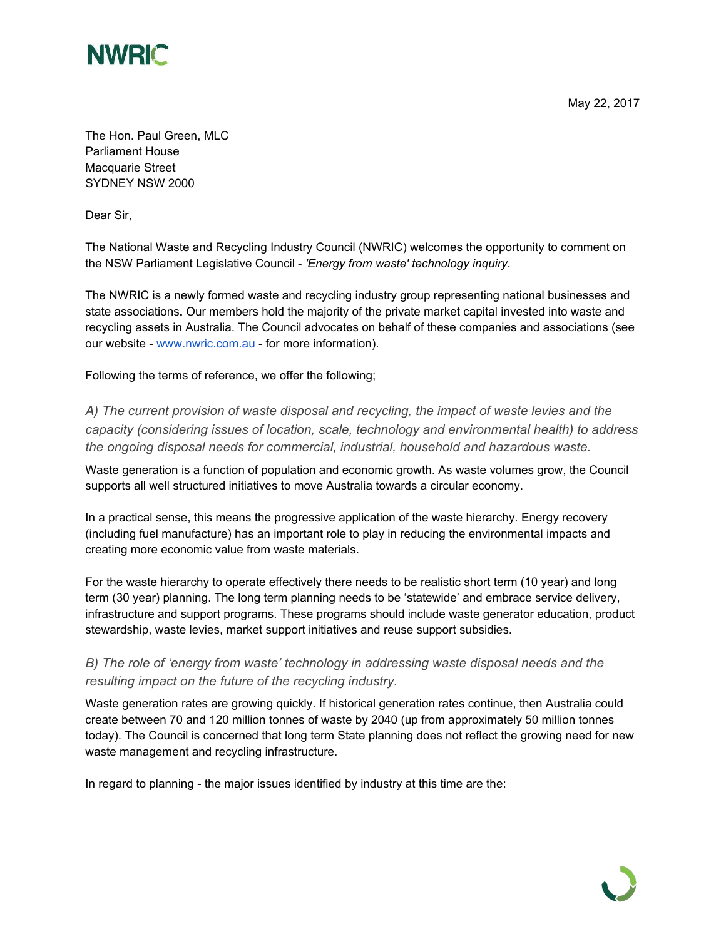

May 22, 2017

The Hon. Paul Green, MLC Parliament House Macquarie Street SYDNEY NSW 2000

Dear Sir,

The National Waste and Recycling Industry Council (NWRIC) welcomes the opportunity to comment on the NSW Parliament Legislative Council - *'Energy from waste' technology inquiry*.

The NWRIC is a newly formed waste and recycling industry group representing national businesses and state associations**.** Our members hold the majority of the private market capital invested into waste and recycling assets in Australia. The Council advocates on behalf of these companies and associations (see our website - [www.nwric.com.au](http://www.nwric.com.au/) - for more information).

Following the terms of reference, we offer the following;

*A) The current provision of waste disposal and recycling, the impact of waste levies and the capacity (considering issues of location, scale, technology and environmental health) to address the ongoing disposal needs for commercial, industrial, household and hazardous waste.*

Waste generation is a function of population and economic growth. As waste volumes grow, the Council supports all well structured initiatives to move Australia towards a circular economy.

In a practical sense, this means the progressive application of the waste hierarchy. Energy recovery (including fuel manufacture) has an important role to play in reducing the environmental impacts and creating more economic value from waste materials.

For the waste hierarchy to operate effectively there needs to be realistic short term (10 year) and long term (30 year) planning. The long term planning needs to be 'statewide' and embrace service delivery, infrastructure and support programs. These programs should include waste generator education, product stewardship, waste levies, market support initiatives and reuse support subsidies.

*B) The role of 'energy from waste' technology in addressing waste disposal needs and the resulting impact on the future of the recycling industry.*

Waste generation rates are growing quickly. If historical generation rates continue, then Australia could create between 70 and 120 million tonnes of waste by 2040 (up from approximately 50 million tonnes today). The Council is concerned that long term State planning does not reflect the growing need for new waste management and recycling infrastructure.

In regard to planning - the major issues identified by industry at this time are the: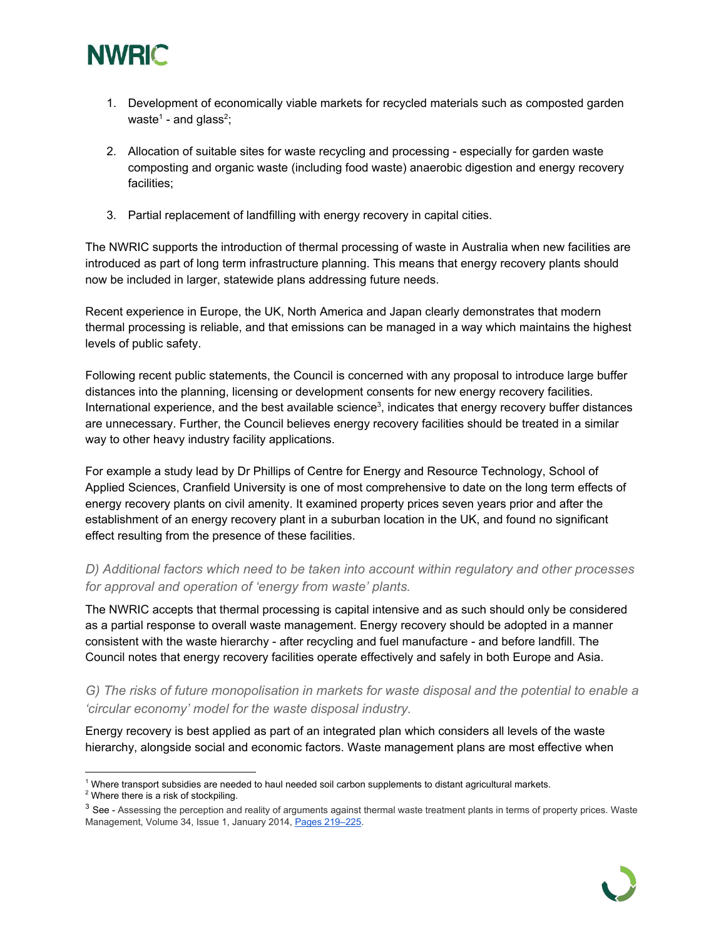

- 1. Development of economically viable markets for recycled materials such as composted garden waste<sup>1</sup> - and glass<sup>2</sup>;
- 2. Allocation of suitable sites for waste recycling and processing especially for garden waste composting and organic waste (including food waste) anaerobic digestion and energy recovery facilities;
- 3. Partial replacement of landfilling with energy recovery in capital cities.

The NWRIC supports the introduction of thermal processing of waste in Australia when new facilities are introduced as part of long term infrastructure planning. This means that energy recovery plants should now be included in larger, statewide plans addressing future needs.

Recent experience in Europe, the UK, North America and Japan clearly demonstrates that modern thermal processing is reliable, and that emissions can be managed in a way which maintains the highest levels of public safety.

Following recent public statements, the Council is concerned with any proposal to introduce large buffer distances into the planning, licensing or development consents for new energy recovery facilities. International experience, and the best available science $3$ , indicates that energy recovery buffer distances are unnecessary. Further, the Council believes energy recovery facilities should be treated in a similar way to other heavy industry facility applications.

For example a study lead by Dr Phillips of Centre for Energy and Resource Technology, School of Applied Sciences, Cranfield University is one of most comprehensive to date on the long term effects of energy recovery plants on civil amenity. It examined property prices seven years prior and after the establishment of an energy recovery plant in a suburban location in the UK, and found no significant effect resulting from the presence of these facilities.

## *D) Additional factors which need to be taken into account within regulatory and other processes for approval and operation of 'energy from waste' plants.*

The NWRIC accepts that thermal processing is capital intensive and as such should only be considered as a partial response to overall waste management. Energy recovery should be adopted in a manner consistent with the waste hierarchy - after recycling and fuel manufacture - and before landfill. The Council notes that energy recovery facilities operate effectively and safely in both Europe and Asia.

*G) The risks of future monopolisation in markets for waste disposal and the potential to enable a 'circular economy' model for the waste disposal industry.*

Energy recovery is best applied as part of an integrated plan which considers all levels of the waste hierarchy, alongside social and economic factors. Waste management plans are most effective when

<sup>2</sup> Where there is a risk of stockpiling.

<sup>&</sup>lt;sup>3</sup> See - Assessing the perception and reality of arguments against thermal waste treatment plants in terms of property prices. Waste Management, Volume 34, Issue 1, January 2014, Pages [219–225](http://www.sciencedirect.com/science/article/pii/S0956053X13003917).



 $1$  Where transport subsidies are needed to haul needed soil carbon supplements to distant agricultural markets.